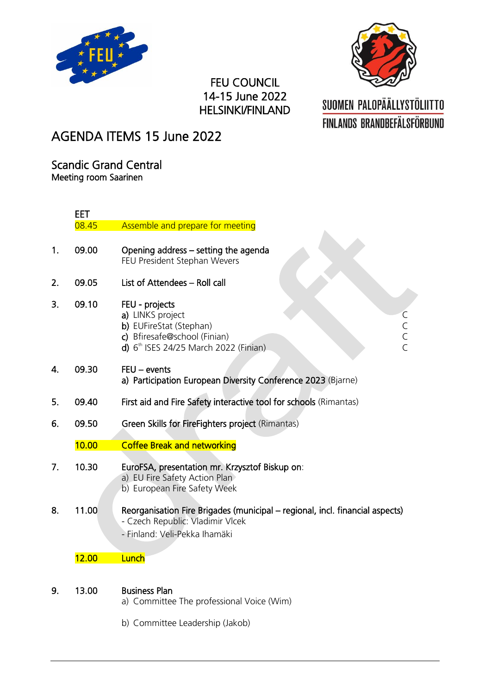



## FEU COUNCIL 14-15 June 2022 HELSINKI/FINLAND

# SUOMEN PALOPÄÄLLYSTÖLIITTO **FINLANDS BRANDBEFÄLSFÖRBUND**

## AGENDA ITEMS 15 June 2022

Scandic Grand Central Meeting room Saarinen

|    | EET   |                                                                                                                                                              |
|----|-------|--------------------------------------------------------------------------------------------------------------------------------------------------------------|
|    | 08.45 | Assemble and prepare for meeting                                                                                                                             |
| 1. | 09.00 | Opening address – setting the agenda<br>FEU President Stephan Wevers                                                                                         |
| 2. | 09.05 | List of Attendees - Roll call                                                                                                                                |
| 3. | 09.10 | FEU - projects<br>a) LINKS project<br>C<br>C<br>C<br>C<br>b) EUFireStat (Stephan)<br>c) Bfiresafe@school (Finian)<br>d) $6th$ ISES 24/25 March 2022 (Finian) |
| 4. | 09.30 | $FEU - events$<br>a) Participation European Diversity Conference 2023 (Bjarne)                                                                               |
| 5. | 09.40 | First aid and Fire Safety interactive tool for schools (Rimantas)                                                                                            |
| 6. | 09.50 | Green Skills for FireFighters project (Rimantas)                                                                                                             |
|    | 10.00 | <b>Coffee Break and networking</b>                                                                                                                           |
| 7. | 10.30 | EuroFSA, presentation mr. Krzysztof Biskup on:<br>a) EU Fire Safety Action Plan<br>b) European Fire Safety Week                                              |
| 8. | 11.00 | Reorganisation Fire Brigades (municipal – regional, incl. financial aspects)<br>- Czech Republic: Vladimir Vlcek<br>- Finland: Veli-Pekka Ihamäki            |
|    | 12.00 | Lunch                                                                                                                                                        |
| 9. | 13.00 | <b>Business Plan</b><br>a) Committee The professional Voice (Wim)                                                                                            |
|    |       | b) Committee Leadership (Jakob)                                                                                                                              |